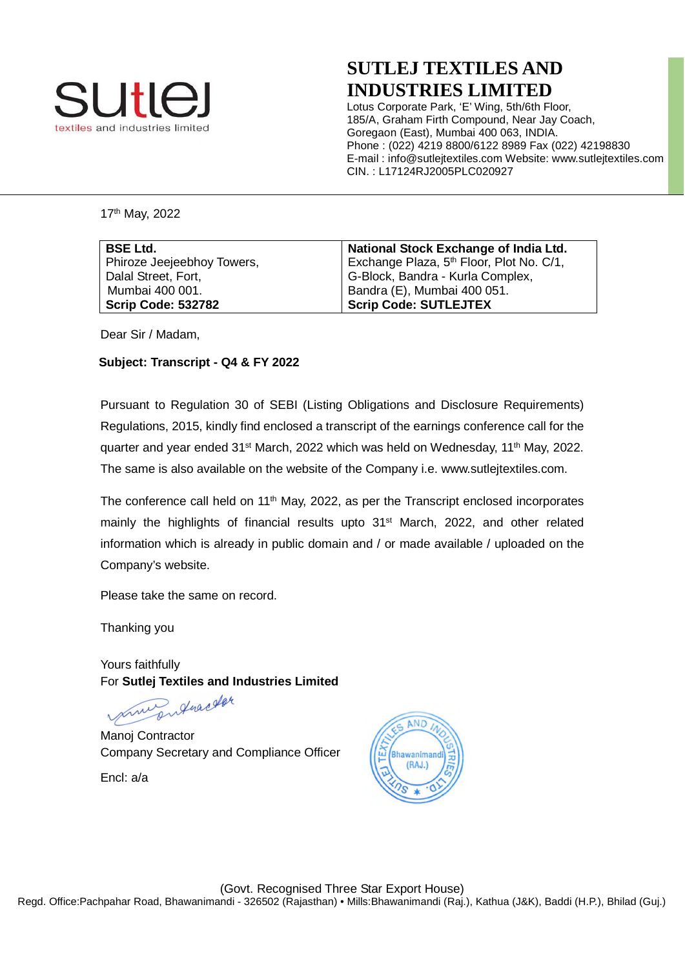

## **SUTLEJ TEXTILES AND INDUSTRIES LIMITED**

Lotus Corporate Park, 'E' Wing, 5th/6th Floor, 185/A, Graham Firth Compound, Near Jay Coach, Goregaon (East), Mumbai 400 063, INDIA. Phone : (022) 4219 8800/6122 8989 Fax (022) 42198830 E-mail : info@sutlejtextiles.com Website: www.sutlejtextiles.com CIN. : L17124RJ2005PLC020927

17th May, 2022

| <b>BSE Ltd.</b>            | National Stock Exchange of India Ltd.                |
|----------------------------|------------------------------------------------------|
| Phiroze Jeejeebhoy Towers, | Exchange Plaza, 5 <sup>th</sup> Floor, Plot No. C/1, |
| Dalal Street, Fort,        | G-Block, Bandra - Kurla Complex,                     |
| Mumbai 400 001.            | <sup>1</sup> Bandra (E), Mumbai 400 051.             |
| <b>Scrip Code: 532782</b>  | <b>Scrip Code: SUTLEJTEX</b>                         |

Dear Sir / Madam,

### **Subject: Transcript - Q4 & FY 2022**

Pursuant to Regulation 30 of SEBI (Listing Obligations and Disclosure Requirements) Regulations, 2015, kindly find enclosed a transcript of the earnings conference call for the quarter and year ended 31<sup>st</sup> March, 2022 which was held on Wednesday, 11<sup>th</sup> May, 2022. The same is also available on the website of the Company i.e. www.sutlejtextiles.com.

The conference call held on  $11<sup>th</sup>$  May, 2022, as per the Transcript enclosed incorporates mainly the highlights of financial results upto 31<sup>st</sup> March, 2022, and other related information which is already in public domain and / or made available / uploaded on the Company's website.

Please take the same on record.

Thanking you

Yours faithfully For **Sutlej Textiles and Industries Limited**

Entractor print

Manoj Contractor Company Secretary and Compliance Officer

Encl: a/a

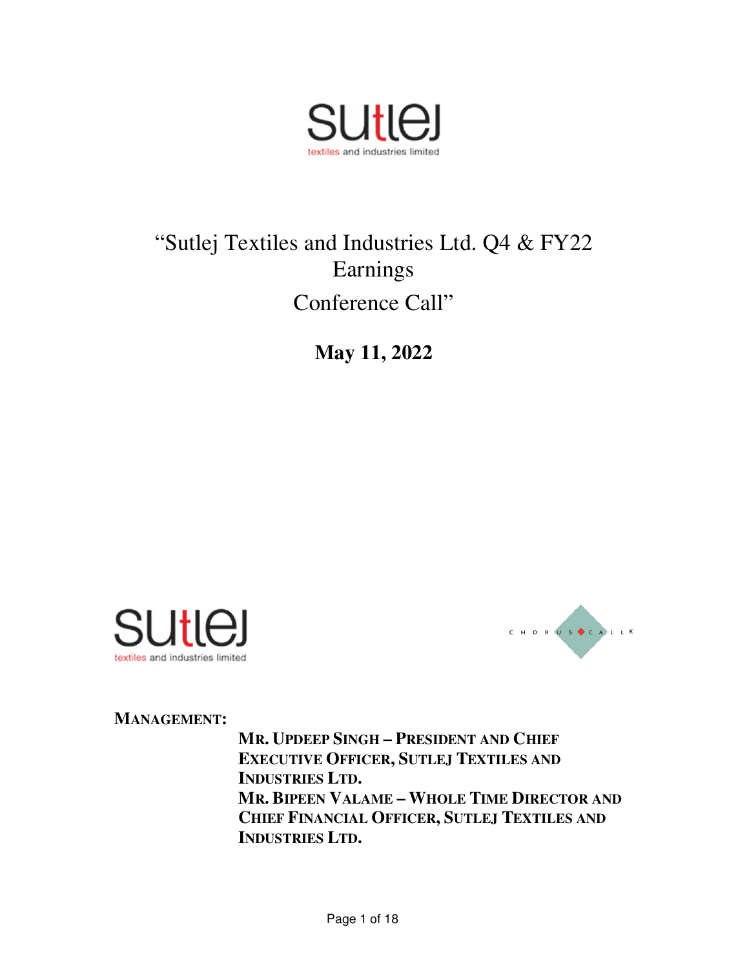

# "Sutlej Textiles and Industries Ltd. Q4 & FY22 Earnings Conference Call"

**May 11, 2022** 





**MANAGEMENT:** 

**MR. UPDEEP SINGH – PRESIDENT AND CHIEF EXECUTIVE OFFICER, SUTLEJ TEXTILES AND INDUSTRIES LTD. MR. BIPEEN VALAME – WHOLE TIME DIRECTOR AND CHIEF FINANCIAL OFFICER, SUTLEJ TEXTILES AND INDUSTRIES LTD.**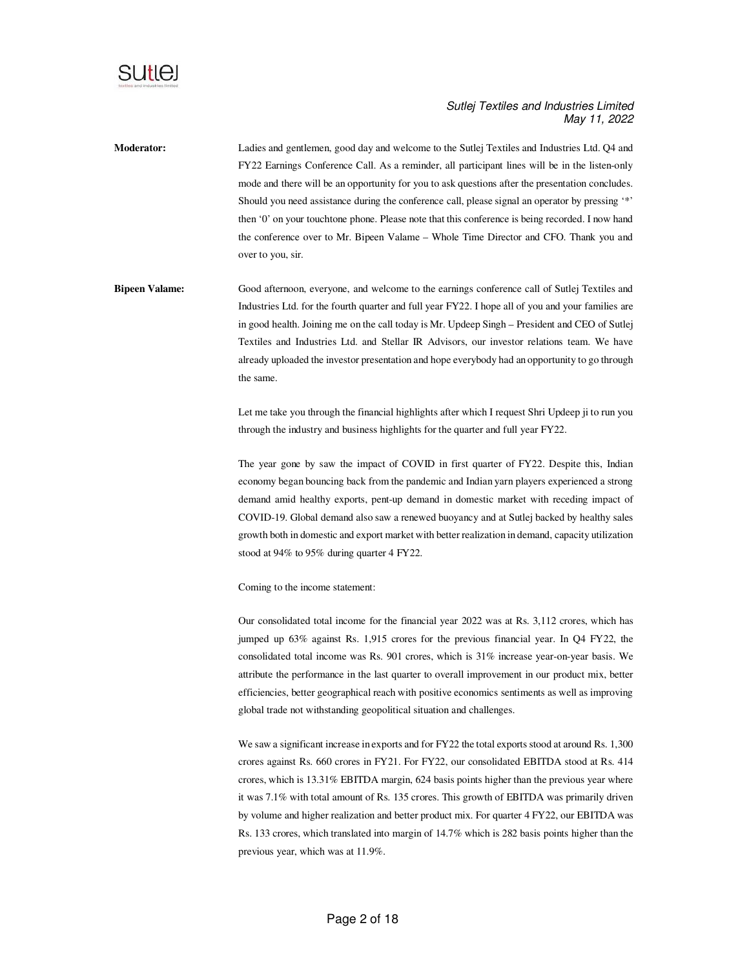

**Moderator:** Ladies and gentlemen, good day and welcome to the Sutlej Textiles and Industries Ltd. Q4 and FY22 Earnings Conference Call. As a reminder, all participant lines will be in the listen-only mode and there will be an opportunity for you to ask questions after the presentation concludes. Should you need assistance during the conference call, please signal an operator by pressing '\*' then '0' on your touchtone phone. Please note that this conference is being recorded. I now hand the conference over to Mr. Bipeen Valame – Whole Time Director and CFO. Thank you and over to you, sir.

**Bipeen Valame:** Good afternoon, everyone, and welcome to the earnings conference call of Sutlej Textiles and Industries Ltd. for the fourth quarter and full year FY22. I hope all of you and your families are in good health. Joining me on the call today is Mr. Updeep Singh – President and CEO of Sutlej Textiles and Industries Ltd. and Stellar IR Advisors, our investor relations team. We have already uploaded the investor presentation and hope everybody had an opportunity to go through the same.

> Let me take you through the financial highlights after which I request Shri Updeep ji to run you through the industry and business highlights for the quarter and full year FY22.

> The year gone by saw the impact of COVID in first quarter of FY22. Despite this, Indian economy began bouncing back from the pandemic and Indian yarn players experienced a strong demand amid healthy exports, pent-up demand in domestic market with receding impact of COVID-19. Global demand also saw a renewed buoyancy and at Sutlej backed by healthy sales growth both in domestic and export market with better realization in demand, capacity utilization stood at 94% to 95% during quarter 4 FY22.

Coming to the income statement:

Our consolidated total income for the financial year 2022 was at Rs. 3,112 crores, which has jumped up 63% against Rs. 1,915 crores for the previous financial year. In Q4 FY22, the consolidated total income was Rs. 901 crores, which is 31% increase year-on-year basis. We attribute the performance in the last quarter to overall improvement in our product mix, better efficiencies, better geographical reach with positive economics sentiments as well as improving global trade not withstanding geopolitical situation and challenges.

We saw a significant increase in exports and for FY22 the total exports stood at around Rs. 1,300 crores against Rs. 660 crores in FY21. For FY22, our consolidated EBITDA stood at Rs. 414 crores, which is 13.31% EBITDA margin, 624 basis points higher than the previous year where it was 7.1% with total amount of Rs. 135 crores. This growth of EBITDA was primarily driven by volume and higher realization and better product mix. For quarter 4 FY22, our EBITDA was Rs. 133 crores, which translated into margin of 14.7% which is 282 basis points higher than the previous year, which was at 11.9%.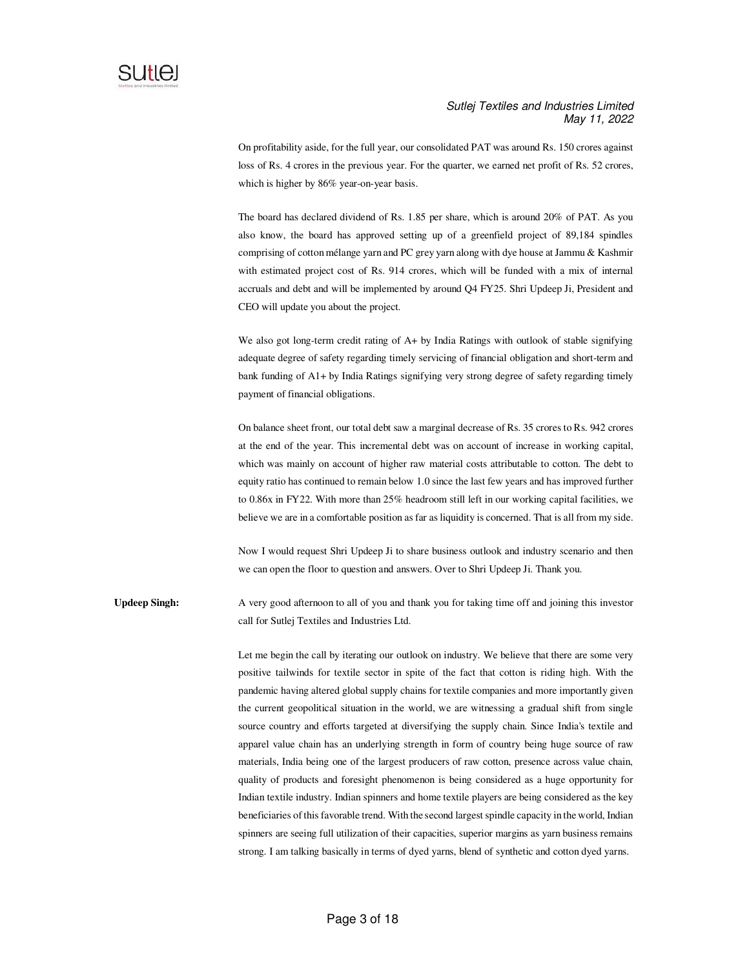

On profitability aside, for the full year, our consolidated PAT was around Rs. 150 crores against loss of Rs. 4 crores in the previous year. For the quarter, we earned net profit of Rs. 52 crores, which is higher by 86% year-on-year basis.

The board has declared dividend of Rs. 1.85 per share, which is around 20% of PAT. As you also know, the board has approved setting up of a greenfield project of 89,184 spindles comprising of cotton mélange yarn and PC grey yarn along with dye house at Jammu & Kashmir with estimated project cost of Rs. 914 crores, which will be funded with a mix of internal accruals and debt and will be implemented by around Q4 FY25. Shri Updeep Ji, President and CEO will update you about the project.

We also got long-term credit rating of A+ by India Ratings with outlook of stable signifying adequate degree of safety regarding timely servicing of financial obligation and short-term and bank funding of A1+ by India Ratings signifying very strong degree of safety regarding timely payment of financial obligations.

On balance sheet front, our total debt saw a marginal decrease of Rs. 35 crores to Rs. 942 crores at the end of the year. This incremental debt was on account of increase in working capital, which was mainly on account of higher raw material costs attributable to cotton. The debt to equity ratio has continued to remain below 1.0 since the last few years and has improved further to 0.86x in FY22. With more than 25% headroom still left in our working capital facilities, we believe we are in a comfortable position as far as liquidity is concerned. That is all from my side.

Now I would request Shri Updeep Ji to share business outlook and industry scenario and then we can open the floor to question and answers. Over to Shri Updeep Ji. Thank you.

**Updeep Singh:** A very good afternoon to all of you and thank you for taking time off and joining this investor call for Sutlej Textiles and Industries Ltd.

> Let me begin the call by iterating our outlook on industry. We believe that there are some very positive tailwinds for textile sector in spite of the fact that cotton is riding high. With the pandemic having altered global supply chains for textile companies and more importantly given the current geopolitical situation in the world, we are witnessing a gradual shift from single source country and efforts targeted at diversifying the supply chain. Since India's textile and apparel value chain has an underlying strength in form of country being huge source of raw materials, India being one of the largest producers of raw cotton, presence across value chain, quality of products and foresight phenomenon is being considered as a huge opportunity for Indian textile industry. Indian spinners and home textile players are being considered as the key beneficiaries of this favorable trend. With the second largest spindle capacity in the world, Indian spinners are seeing full utilization of their capacities, superior margins as yarn business remains strong. I am talking basically in terms of dyed yarns, blend of synthetic and cotton dyed yarns.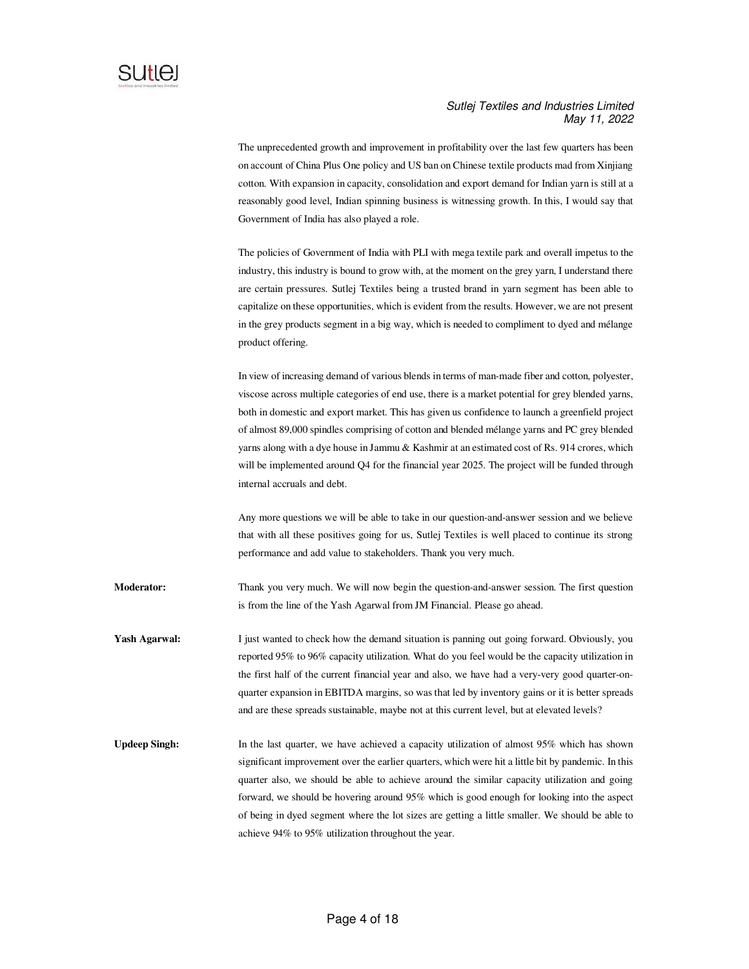

The unprecedented growth and improvement in profitability over the last few quarters has been on account of China Plus One policy and US ban on Chinese textile products mad from Xinjiang cotton. With expansion in capacity, consolidation and export demand for Indian yarn is still at a reasonably good level, Indian spinning business is witnessing growth. In this, I would say that Government of India has also played a role.

The policies of Government of India with PLI with mega textile park and overall impetus to the industry, this industry is bound to grow with, at the moment on the grey yarn, I understand there are certain pressures. Sutlej Textiles being a trusted brand in yarn segment has been able to capitalize on these opportunities, which is evident from the results. However, we are not present in the grey products segment in a big way, which is needed to compliment to dyed and mélange product offering.

In view of increasing demand of various blends in terms of man-made fiber and cotton, polyester, viscose across multiple categories of end use, there is a market potential for grey blended yarns, both in domestic and export market. This has given us confidence to launch a greenfield project of almost 89,000 spindles comprising of cotton and blended mélange yarns and PC grey blended yarns along with a dye house in Jammu & Kashmir at an estimated cost of Rs. 914 crores, which will be implemented around Q4 for the financial year 2025. The project will be funded through internal accruals and debt.

Any more questions we will be able to take in our question-and-answer session and we believe that with all these positives going for us, Sutlej Textiles is well placed to continue its strong performance and add value to stakeholders. Thank you very much.

**Moderator:** Thank you very much. We will now begin the question-and-answer session. The first question is from the line of the Yash Agarwal from JM Financial. Please go ahead.

- Yash Agarwal: I just wanted to check how the demand situation is panning out going forward. Obviously, you reported 95% to 96% capacity utilization. What do you feel would be the capacity utilization in the first half of the current financial year and also, we have had a very-very good quarter-onquarter expansion in EBITDA margins, so was that led by inventory gains or it is better spreads and are these spreads sustainable, maybe not at this current level, but at elevated levels?
- Updeep Singh: In the last quarter, we have achieved a capacity utilization of almost 95% which has shown significant improvement over the earlier quarters, which were hit a little bit by pandemic. In this quarter also, we should be able to achieve around the similar capacity utilization and going forward, we should be hovering around 95% which is good enough for looking into the aspect of being in dyed segment where the lot sizes are getting a little smaller. We should be able to achieve 94% to 95% utilization throughout the year.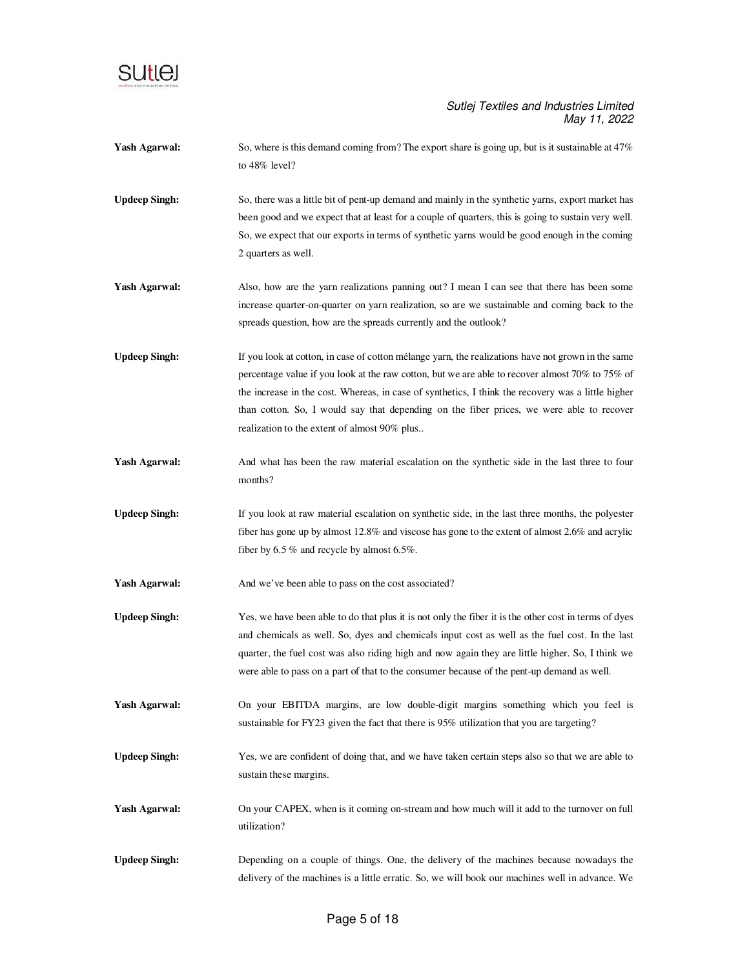

| <b>Yash Agarwal:</b> | So, where is this demand coming from? The export share is going up, but is it sustainable at 47%<br>to 48% level?                                                                                                                                                                                                                                                                                                                                             |
|----------------------|---------------------------------------------------------------------------------------------------------------------------------------------------------------------------------------------------------------------------------------------------------------------------------------------------------------------------------------------------------------------------------------------------------------------------------------------------------------|
| <b>Updeep Singh:</b> | So, there was a little bit of pent-up demand and mainly in the synthetic yarns, export market has<br>been good and we expect that at least for a couple of quarters, this is going to sustain very well.<br>So, we expect that our exports in terms of synthetic yarns would be good enough in the coming<br>2 quarters as well.                                                                                                                              |
| <b>Yash Agarwal:</b> | Also, how are the yarn realizations panning out? I mean I can see that there has been some<br>increase quarter-on-quarter on yarn realization, so are we sustainable and coming back to the<br>spreads question, how are the spreads currently and the outlook?                                                                                                                                                                                               |
| <b>Updeep Singh:</b> | If you look at cotton, in case of cotton mélange yarn, the realizations have not grown in the same<br>percentage value if you look at the raw cotton, but we are able to recover almost $70\%$ to $75\%$ of<br>the increase in the cost. Whereas, in case of synthetics, I think the recovery was a little higher<br>than cotton. So, I would say that depending on the fiber prices, we were able to recover<br>realization to the extent of almost 90% plus |
| <b>Yash Agarwal:</b> | And what has been the raw material escalation on the synthetic side in the last three to four<br>months?                                                                                                                                                                                                                                                                                                                                                      |
| <b>Updeep Singh:</b> | If you look at raw material escalation on synthetic side, in the last three months, the polyester<br>fiber has gone up by almost 12.8% and viscose has gone to the extent of almost 2.6% and acrylic<br>fiber by $6.5\%$ and recycle by almost $6.5\%$ .                                                                                                                                                                                                      |
| <b>Yash Agarwal:</b> | And we've been able to pass on the cost associated?                                                                                                                                                                                                                                                                                                                                                                                                           |
| <b>Updeep Singh:</b> | Yes, we have been able to do that plus it is not only the fiber it is the other cost in terms of dyes<br>and chemicals as well. So, dyes and chemicals input cost as well as the fuel cost. In the last<br>quarter, the fuel cost was also riding high and now again they are little higher. So, I think we<br>were able to pass on a part of that to the consumer because of the pent-up demand as well.                                                     |
| <b>Yash Agarwal:</b> | On your EBITDA margins, are low double-digit margins something which you feel is<br>sustainable for FY23 given the fact that there is 95% utilization that you are targeting?                                                                                                                                                                                                                                                                                 |
| <b>Updeep Singh:</b> | Yes, we are confident of doing that, and we have taken certain steps also so that we are able to<br>sustain these margins.                                                                                                                                                                                                                                                                                                                                    |
| <b>Yash Agarwal:</b> | On your CAPEX, when is it coming on-stream and how much will it add to the turnover on full<br>utilization?                                                                                                                                                                                                                                                                                                                                                   |
| <b>Updeep Singh:</b> | Depending on a couple of things. One, the delivery of the machines because nowadays the<br>delivery of the machines is a little erratic. So, we will book our machines well in advance. We                                                                                                                                                                                                                                                                    |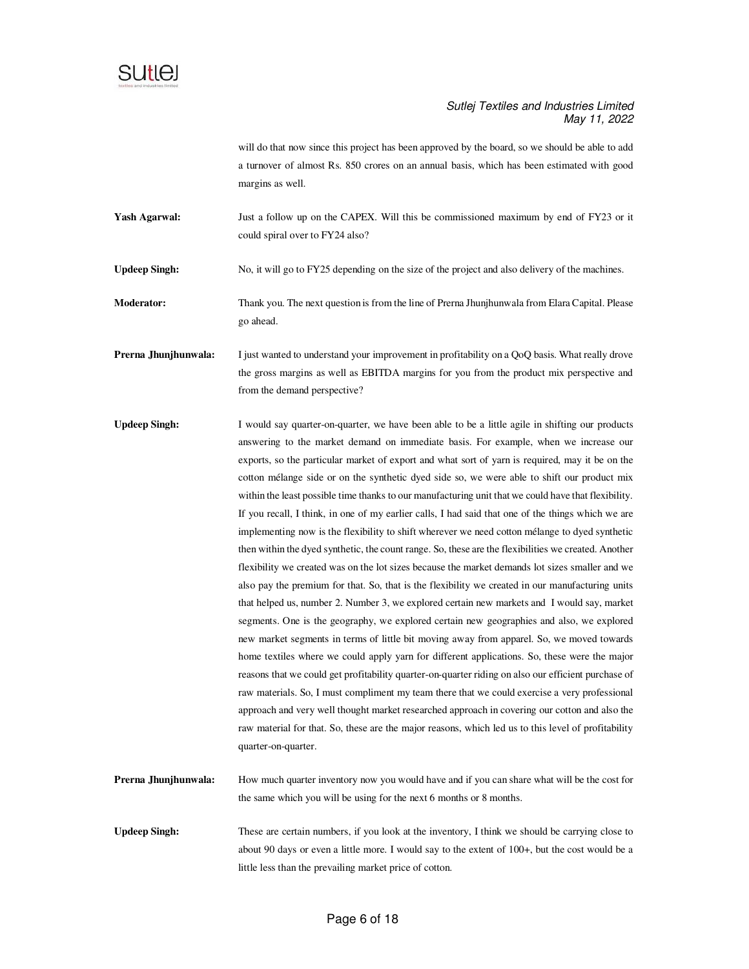

will do that now since this project has been approved by the board, so we should be able to add a turnover of almost Rs. 850 crores on an annual basis, which has been estimated with good margins as well.

Yash Agarwal: Just a follow up on the CAPEX. Will this be commissioned maximum by end of FY23 or it could spiral over to FY24 also?

**Updeep Singh:** No, it will go to FY25 depending on the size of the project and also delivery of the machines.

- **Moderator:** Thank you. The next question is from the line of Prerna Jhunjhunwala from Elara Capital. Please go ahead.
- **Prerna Jhunjhunwala:** I just wanted to understand your improvement in profitability on a QoQ basis. What really drove the gross margins as well as EBITDA margins for you from the product mix perspective and from the demand perspective?
- **Updeep Singh:** I would say quarter-on-quarter, we have been able to be a little agile in shifting our products answering to the market demand on immediate basis. For example, when we increase our exports, so the particular market of export and what sort of yarn is required, may it be on the cotton mélange side or on the synthetic dyed side so, we were able to shift our product mix within the least possible time thanks to our manufacturing unit that we could have that flexibility. If you recall, I think, in one of my earlier calls, I had said that one of the things which we are implementing now is the flexibility to shift wherever we need cotton mélange to dyed synthetic then within the dyed synthetic, the count range. So, these are the flexibilities we created. Another flexibility we created was on the lot sizes because the market demands lot sizes smaller and we also pay the premium for that. So, that is the flexibility we created in our manufacturing units that helped us, number 2. Number 3, we explored certain new markets and I would say, market segments. One is the geography, we explored certain new geographies and also, we explored new market segments in terms of little bit moving away from apparel. So, we moved towards home textiles where we could apply yarn for different applications. So, these were the major reasons that we could get profitability quarter-on-quarter riding on also our efficient purchase of raw materials. So, I must compliment my team there that we could exercise a very professional approach and very well thought market researched approach in covering our cotton and also the raw material for that. So, these are the major reasons, which led us to this level of profitability quarter-on-quarter.
- **Prerna Jhunjhunwala:** How much quarter inventory now you would have and if you can share what will be the cost for the same which you will be using for the next 6 months or 8 months.
- Updeep Singh: These are certain numbers, if you look at the inventory, I think we should be carrying close to about 90 days or even a little more. I would say to the extent of 100+, but the cost would be a little less than the prevailing market price of cotton.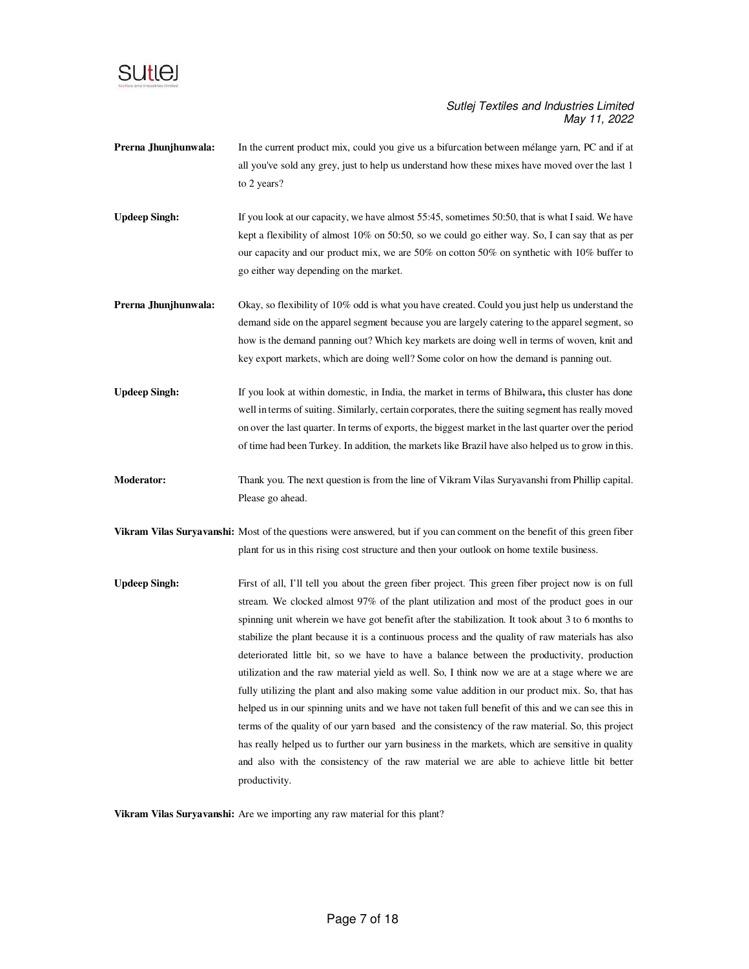

- **Prerna Jhunjhunwala:** In the current product mix, could you give us a bifurcation between mélange yarn, PC and if at all you've sold any grey, just to help us understand how these mixes have moved over the last 1 to 2 years?
- **Updeep Singh:** If you look at our capacity, we have almost 55:45, sometimes 50:50, that is what I said. We have kept a flexibility of almost 10% on 50:50, so we could go either way. So, I can say that as per our capacity and our product mix, we are 50% on cotton 50% on synthetic with 10% buffer to go either way depending on the market.
- **Prerna Jhunjhunwala:** Okay, so flexibility of 10% odd is what you have created. Could you just help us understand the demand side on the apparel segment because you are largely catering to the apparel segment, so how is the demand panning out? Which key markets are doing well in terms of woven, knit and key export markets, which are doing well? Some color on how the demand is panning out.
- **Updeep Singh:** If you look at within domestic, in India, the market in terms of Bhilwara**,** this cluster has done well in terms of suiting. Similarly, certain corporates, there the suiting segment has really moved on over the last quarter. In terms of exports, the biggest market in the last quarter over the period of time had been Turkey. In addition, the markets like Brazil have also helped us to grow in this.
- **Moderator:** Thank you. The next question is from the line of Vikram Vilas Suryavanshi from Phillip capital. Please go ahead.
- **Vikram Vilas Suryavanshi:** Most of the questions were answered, but if you can comment on the benefit of this green fiber plant for us in this rising cost structure and then your outlook on home textile business.
- **Updeep Singh:** First of all, I'll tell you about the green fiber project. This green fiber project now is on full stream. We clocked almost 97% of the plant utilization and most of the product goes in our spinning unit wherein we have got benefit after the stabilization. It took about 3 to 6 months to stabilize the plant because it is a continuous process and the quality of raw materials has also deteriorated little bit, so we have to have a balance between the productivity, production utilization and the raw material yield as well. So, I think now we are at a stage where we are fully utilizing the plant and also making some value addition in our product mix. So, that has helped us in our spinning units and we have not taken full benefit of this and we can see this in terms of the quality of our yarn based and the consistency of the raw material. So, this project has really helped us to further our yarn business in the markets, which are sensitive in quality and also with the consistency of the raw material we are able to achieve little bit better productivity.

**Vikram Vilas Suryavanshi:** Are we importing any raw material for this plant?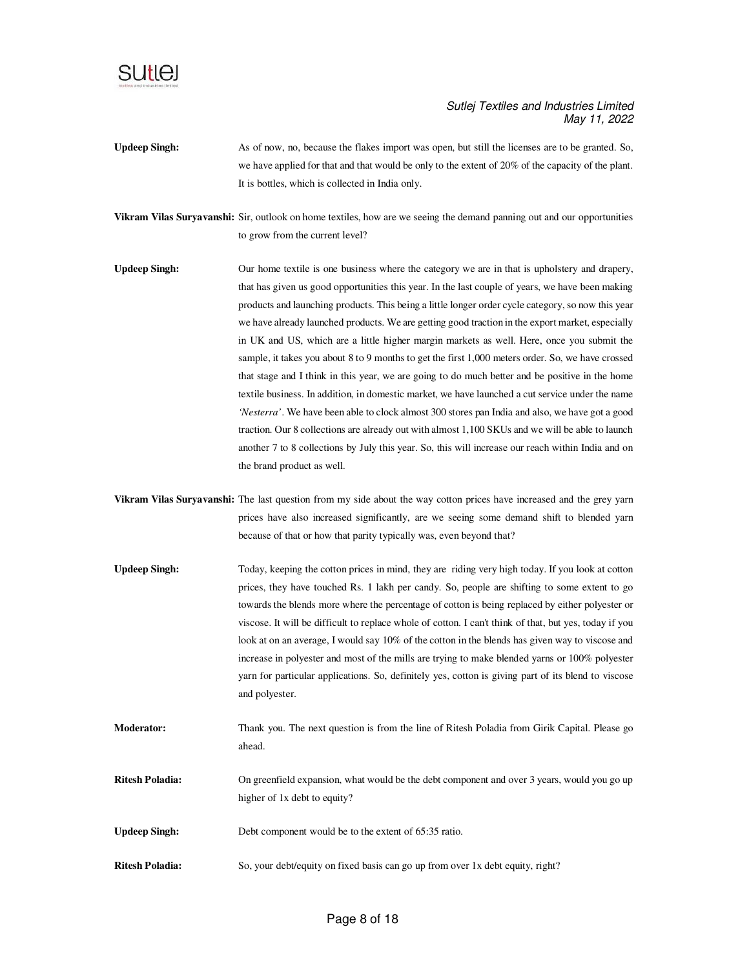

- **Updeep Singh:** As of now, no, because the flakes import was open, but still the licenses are to be granted. So, we have applied for that and that would be only to the extent of 20% of the capacity of the plant. It is bottles, which is collected in India only.
- **Vikram Vilas Suryavanshi:** Sir, outlook on home textiles, how are we seeing the demand panning out and our opportunities to grow from the current level?
- **Updeep Singh:** Our home textile is one business where the category we are in that is upholstery and drapery, that has given us good opportunities this year. In the last couple of years, we have been making products and launching products. This being a little longer order cycle category, so now this year we have already launched products. We are getting good traction in the export market, especially in UK and US, which are a little higher margin markets as well. Here, once you submit the sample, it takes you about 8 to 9 months to get the first 1,000 meters order. So, we have crossed that stage and I think in this year, we are going to do much better and be positive in the home textile business. In addition, in domestic market, we have launched a cut service under the name *'Nesterra'*. We have been able to clock almost 300 stores pan India and also, we have got a good traction. Our 8 collections are already out with almost 1,100 SKUs and we will be able to launch another 7 to 8 collections by July this year. So, this will increase our reach within India and on the brand product as well.
- **Vikram Vilas Suryavanshi:** The last question from my side about the way cotton prices have increased and the grey yarn prices have also increased significantly, are we seeing some demand shift to blended yarn because of that or how that parity typically was, even beyond that?
- **Updeep Singh:** Today, keeping the cotton prices in mind, they are riding very high today. If you look at cotton prices, they have touched Rs. 1 lakh per candy. So, people are shifting to some extent to go towards the blends more where the percentage of cotton is being replaced by either polyester or viscose. It will be difficult to replace whole of cotton. I can't think of that, but yes, today if you look at on an average, I would say 10% of the cotton in the blends has given way to viscose and increase in polyester and most of the mills are trying to make blended yarns or 100% polyester yarn for particular applications. So, definitely yes, cotton is giving part of its blend to viscose and polyester.
- **Moderator:** Thank you. The next question is from the line of Ritesh Poladia from Girik Capital. Please go ahead.
- **Ritesh Poladia:** On greenfield expansion, what would be the debt component and over 3 years, would you go up higher of 1x debt to equity?
- **Updeep Singh:** Debt component would be to the extent of 65:35 ratio.
- **Ritesh Poladia:** So, your debt/equity on fixed basis can go up from over 1x debt equity, right?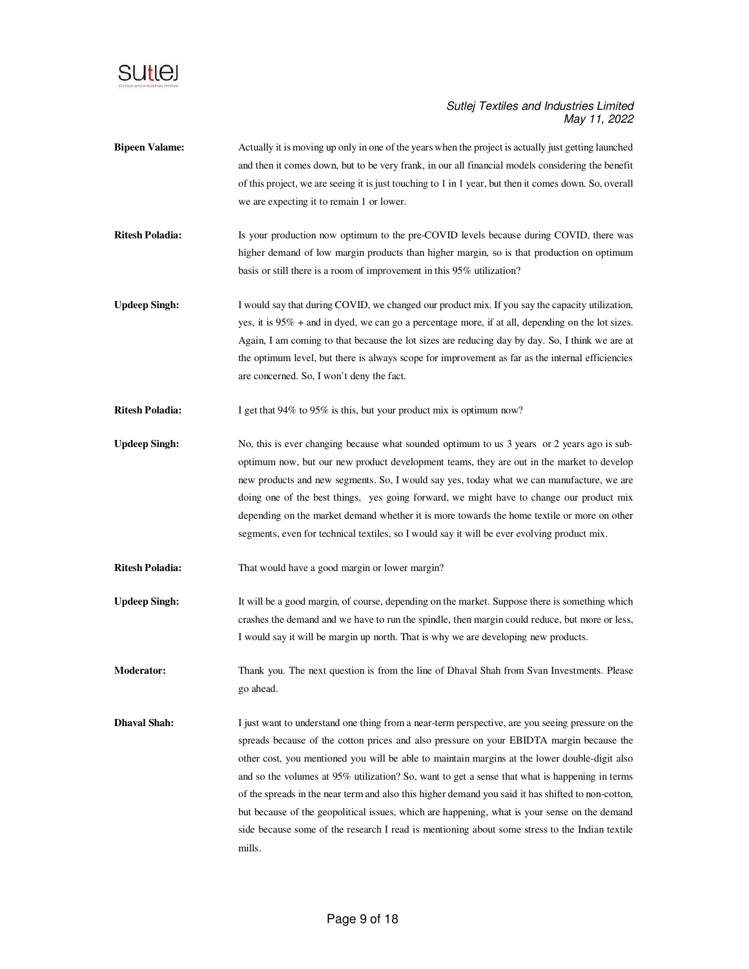

- **Bipeen Valame:** Actually it is moving up only in one of the years when the project is actually just getting launched and then it comes down, but to be very frank, in our all financial models considering the benefit of this project, we are seeing it is just touching to 1 in 1 year, but then it comes down. So, overall we are expecting it to remain 1 or lower.
- **Ritesh Poladia:** Is your production now optimum to the pre-COVID levels because during COVID, there was higher demand of low margin products than higher margin, so is that production on optimum basis or still there is a room of improvement in this 95% utilization?
- **Updeep Singh:** I would say that during COVID, we changed our product mix. If you say the capacity utilization, yes, it is 95% + and in dyed, we can go a percentage more, if at all, depending on the lot sizes. Again, I am coming to that because the lot sizes are reducing day by day. So, I think we are at the optimum level, but there is always scope for improvement as far as the internal efficiencies are concerned. So, I won't deny the fact.
- **Ritesh Poladia:** I get that 94% to 95% is this, but your product mix is optimum now?
- Updeep Singh: No, this is ever changing because what sounded optimum to us 3 years or 2 years ago is suboptimum now, but our new product development teams, they are out in the market to develop new products and new segments. So, I would say yes, today what we can manufacture, we are doing one of the best things, yes going forward, we might have to change our product mix depending on the market demand whether it is more towards the home textile or more on other segments, even for technical textiles, so I would say it will be ever evolving product mix.
- **Ritesh Poladia:** That would have a good margin or lower margin?
- **Updeep Singh:** It will be a good margin, of course, depending on the market. Suppose there is something which crashes the demand and we have to run the spindle, then margin could reduce, but more or less, I would say it will be margin up north. That is why we are developing new products.
- **Moderator:** Thank you. The next question is from the line of Dhaval Shah from Svan Investments. Please go ahead.
- **Dhaval Shah:** I just want to understand one thing from a near-term perspective, are you seeing pressure on the spreads because of the cotton prices and also pressure on your EBIDTA margin because the other cost, you mentioned you will be able to maintain margins at the lower double-digit also and so the volumes at 95% utilization? So, want to get a sense that what is happening in terms of the spreads in the near term and also this higher demand you said it has shifted to non-cotton, but because of the geopolitical issues, which are happening, what is your sense on the demand side because some of the research I read is mentioning about some stress to the Indian textile mills.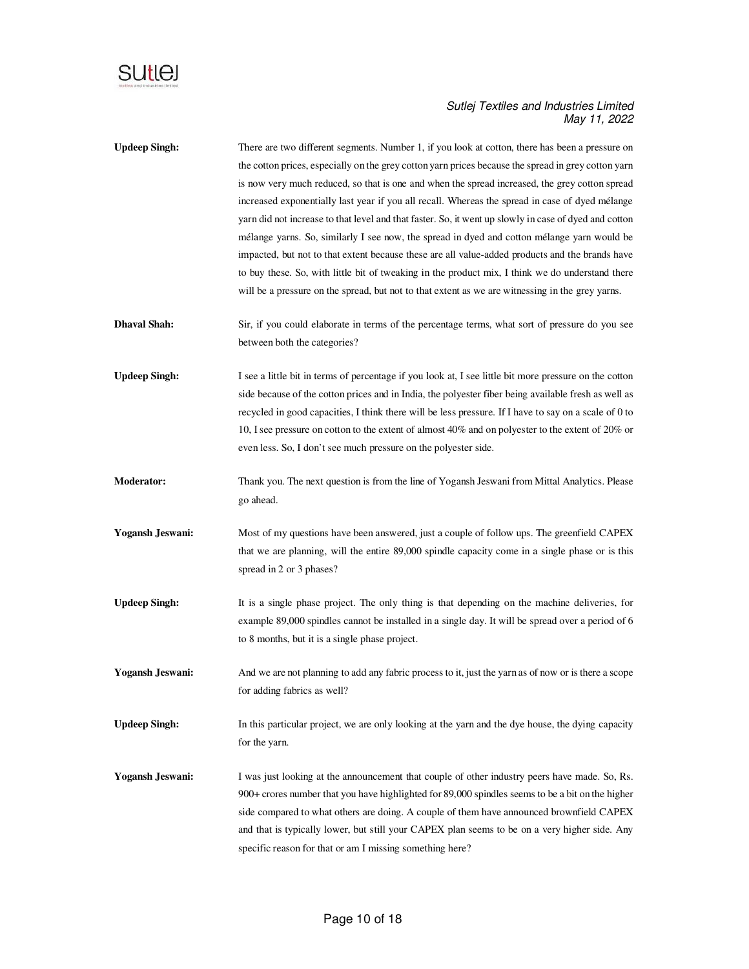

| <b>Updeep Singh:</b>    | There are two different segments. Number 1, if you look at cotton, there has been a pressure on        |
|-------------------------|--------------------------------------------------------------------------------------------------------|
|                         | the cotton prices, especially on the grey cotton yarn prices because the spread in grey cotton yarn    |
|                         | is now very much reduced, so that is one and when the spread increased, the grey cotton spread         |
|                         | increased exponentially last year if you all recall. Whereas the spread in case of dyed mélange        |
|                         | yarn did not increase to that level and that faster. So, it went up slowly in case of dyed and cotton  |
|                         | mélange yarns. So, similarly I see now, the spread in dyed and cotton mélange yarn would be            |
|                         | impacted, but not to that extent because these are all value-added products and the brands have        |
|                         | to buy these. So, with little bit of tweaking in the product mix, I think we do understand there       |
|                         | will be a pressure on the spread, but not to that extent as we are witnessing in the grey yarns.       |
| <b>Dhaval Shah:</b>     | Sir, if you could elaborate in terms of the percentage terms, what sort of pressure do you see         |
|                         | between both the categories?                                                                           |
| <b>Updeep Singh:</b>    | I see a little bit in terms of percentage if you look at, I see little bit more pressure on the cotton |
|                         | side because of the cotton prices and in India, the polyester fiber being available fresh as well as   |
|                         | recycled in good capacities, I think there will be less pressure. If I have to say on a scale of 0 to  |
|                         | 10, I see pressure on cotton to the extent of almost 40% and on polyester to the extent of 20% or      |
|                         | even less. So, I don't see much pressure on the polyester side.                                        |
| <b>Moderator:</b>       | Thank you. The next question is from the line of Yogansh Jeswani from Mittal Analytics. Please         |
|                         | go ahead.                                                                                              |
| <b>Yogansh Jeswani:</b> | Most of my questions have been answered, just a couple of follow ups. The greenfield CAPEX             |
|                         | that we are planning, will the entire 89,000 spindle capacity come in a single phase or is this        |
|                         | spread in 2 or 3 phases?                                                                               |
| <b>Updeep Singh:</b>    | It is a single phase project. The only thing is that depending on the machine deliveries, for          |
|                         | example 89,000 spindles cannot be installed in a single day. It will be spread over a period of 6      |
|                         | to 8 months, but it is a single phase project.                                                         |
| <b>Yogansh Jeswani:</b> | And we are not planning to add any fabric process to it, just the yarn as of now or is there a scope   |
|                         | for adding fabrics as well?                                                                            |
| <b>Updeep Singh:</b>    | In this particular project, we are only looking at the yarn and the dye house, the dying capacity      |
|                         | for the yarn.                                                                                          |
| <b>Yogansh Jeswani:</b> | I was just looking at the announcement that couple of other industry peers have made. So, Rs.          |
|                         | 900+ crores number that you have highlighted for 89,000 spindles seems to be a bit on the higher       |
|                         | side compared to what others are doing. A couple of them have announced brownfield CAPEX               |
|                         | and that is typically lower, but still your CAPEX plan seems to be on a very higher side. Any          |
|                         | specific reason for that or am I missing something here?                                               |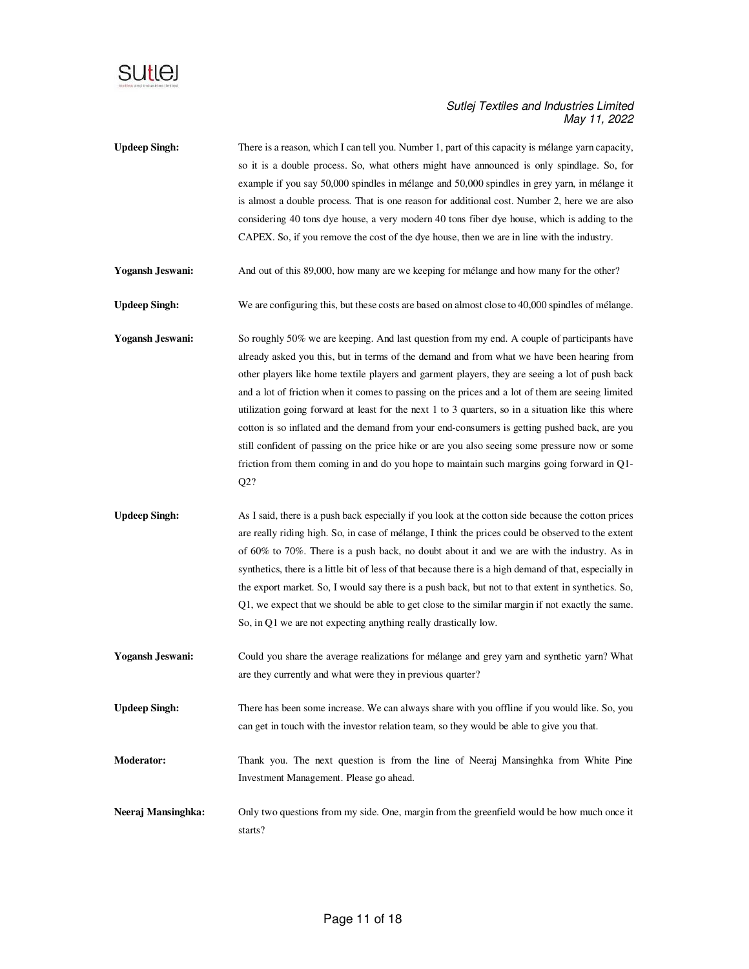

| <b>Updeep Singh:</b>    | There is a reason, which I can tell you. Number 1, part of this capacity is mélange yarn capacity,<br>so it is a double process. So, what others might have announced is only spindlage. So, for<br>example if you say 50,000 spindles in mélange and 50,000 spindles in grey yarn, in mélange it<br>is almost a double process. That is one reason for additional cost. Number 2, here we are also<br>considering 40 tons dye house, a very modern 40 tons fiber dye house, which is adding to the<br>CAPEX. So, if you remove the cost of the dye house, then we are in line with the industry.                                                                                                                                                                                                             |
|-------------------------|---------------------------------------------------------------------------------------------------------------------------------------------------------------------------------------------------------------------------------------------------------------------------------------------------------------------------------------------------------------------------------------------------------------------------------------------------------------------------------------------------------------------------------------------------------------------------------------------------------------------------------------------------------------------------------------------------------------------------------------------------------------------------------------------------------------|
| <b>Yogansh Jeswani:</b> | And out of this 89,000, how many are we keeping for mélange and how many for the other?                                                                                                                                                                                                                                                                                                                                                                                                                                                                                                                                                                                                                                                                                                                       |
| <b>Updeep Singh:</b>    | We are configuring this, but these costs are based on almost close to 40,000 spindles of mélange.                                                                                                                                                                                                                                                                                                                                                                                                                                                                                                                                                                                                                                                                                                             |
| <b>Yogansh Jeswani:</b> | So roughly 50% we are keeping. And last question from my end. A couple of participants have<br>already asked you this, but in terms of the demand and from what we have been hearing from<br>other players like home textile players and garment players, they are seeing a lot of push back<br>and a lot of friction when it comes to passing on the prices and a lot of them are seeing limited<br>utilization going forward at least for the next 1 to 3 quarters, so in a situation like this where<br>cotton is so inflated and the demand from your end-consumers is getting pushed back, are you<br>still confident of passing on the price hike or are you also seeing some pressure now or some<br>friction from them coming in and do you hope to maintain such margins going forward in Q1-<br>Q2? |
| <b>Updeep Singh:</b>    | As I said, there is a push back especially if you look at the cotton side because the cotton prices<br>are really riding high. So, in case of mélange, I think the prices could be observed to the extent<br>of 60% to 70%. There is a push back, no doubt about it and we are with the industry. As in<br>synthetics, there is a little bit of less of that because there is a high demand of that, especially in<br>the export market. So, I would say there is a push back, but not to that extent in synthetics. So,                                                                                                                                                                                                                                                                                      |

**Moderator:** Thank you. The next question is from the line of Neeraj Mansinghka from White Pine Investment Management. Please go ahead.

So, in Q1 we are not expecting anything really drastically low.

Yogansh Jeswani: Could you share the average realizations for mélange and grey yarn and synthetic yarn? What are they currently and what were they in previous quarter?

**Updeep Singh:** There has been some increase. We can always share with you offline if you would like. So, you

Q1, we expect that we should be able to get close to the similar margin if not exactly the same.

can get in touch with the investor relation team, so they would be able to give you that.

**Neeraj Mansinghka:** Only two questions from my side. One, margin from the greenfield would be how much once it starts?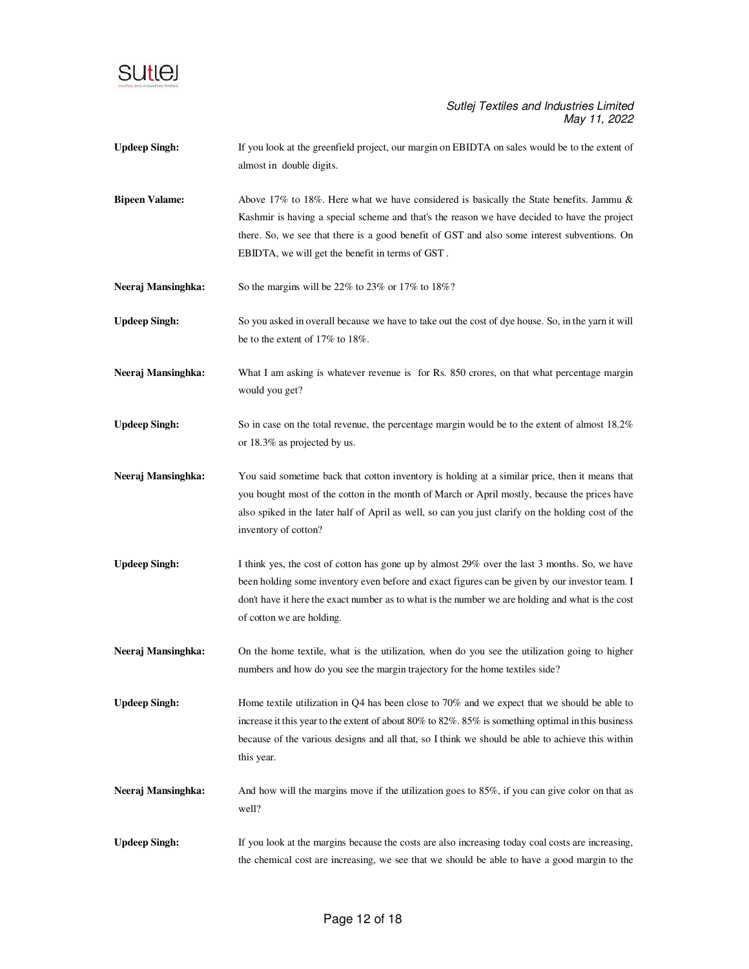

- **Updeep Singh:** If you look at the greenfield project, our margin on EBIDTA on sales would be to the extent of almost in double digits.
- **Bipeen Valame:** Above 17% to 18%. Here what we have considered is basically the State benefits. Jammu & Kashmir is having a special scheme and that's the reason we have decided to have the project there. So, we see that there is a good benefit of GST and also some interest subventions. On EBIDTA, we will get the benefit in terms of GST .
- **Neeraj Mansinghka:** So the margins will be 22% to 23% or 17% to 18%?
- **Updeep Singh:** So you asked in overall because we have to take out the cost of dye house. So, in the yarn it will be to the extent of 17% to 18%.
- Neeraj Mansinghka: What I am asking is whatever revenue is for Rs. 850 crores, on that what percentage margin would you get?
- Updeep Singh: So in case on the total revenue, the percentage margin would be to the extent of almost 18.2% or 18.3% as projected by us.
- **Neeraj Mansinghka:** You said sometime back that cotton inventory is holding at a similar price, then it means that you bought most of the cotton in the month of March or April mostly, because the prices have also spiked in the later half of April as well, so can you just clarify on the holding cost of the inventory of cotton?
- Updeep Singh: I think yes, the cost of cotton has gone up by almost 29% over the last 3 months. So, we have been holding some inventory even before and exact figures can be given by our investor team. I don't have it here the exact number as to what is the number we are holding and what is the cost of cotton we are holding.
- **Neeraj Mansinghka:** On the home textile, what is the utilization, when do you see the utilization going to higher numbers and how do you see the margin trajectory for the home textiles side?
- Updeep Singh: Home textile utilization in Q4 has been close to 70% and we expect that we should be able to increase it this year to the extent of about 80% to 82%. 85% is something optimal in this business because of the various designs and all that, so I think we should be able to achieve this within this year.
- **Neeraj Mansinghka:** And how will the margins move if the utilization goes to 85%, if you can give color on that as well?
- Updeep Singh: If you look at the margins because the costs are also increasing today coal costs are increasing, the chemical cost are increasing, we see that we should be able to have a good margin to the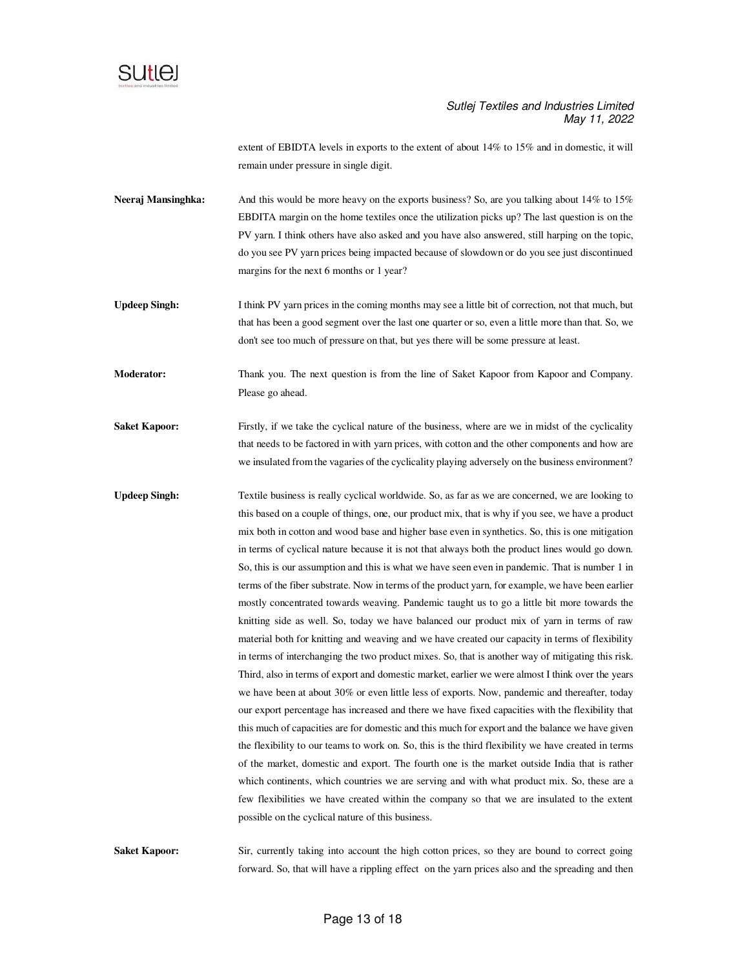

extent of EBIDTA levels in exports to the extent of about 14% to 15% and in domestic, it will remain under pressure in single digit.

- Neeraj Mansinghka: And this would be more heavy on the exports business? So, are you talking about 14% to 15% EBDITA margin on the home textiles once the utilization picks up? The last question is on the PV yarn. I think others have also asked and you have also answered, still harping on the topic, do you see PV yarn prices being impacted because of slowdown or do you see just discontinued margins for the next 6 months or 1 year?
- **Updeep Singh:** I think PV yarn prices in the coming months may see a little bit of correction, not that much, but that has been a good segment over the last one quarter or so, even a little more than that. So, we don't see too much of pressure on that, but yes there will be some pressure at least.
- **Moderator:** Thank you. The next question is from the line of Saket Kapoor from Kapoor and Company. Please go ahead.
- **Saket Kapoor:** Firstly, if we take the cyclical nature of the business, where are we in midst of the cyclicality that needs to be factored in with yarn prices, with cotton and the other components and how are we insulated from the vagaries of the cyclicality playing adversely on the business environment?
- **Updeep Singh:** Textile business is really cyclical worldwide. So, as far as we are concerned, we are looking to this based on a couple of things, one, our product mix, that is why if you see, we have a product mix both in cotton and wood base and higher base even in synthetics. So, this is one mitigation in terms of cyclical nature because it is not that always both the product lines would go down. So, this is our assumption and this is what we have seen even in pandemic. That is number 1 in terms of the fiber substrate. Now in terms of the product yarn, for example, we have been earlier mostly concentrated towards weaving. Pandemic taught us to go a little bit more towards the knitting side as well. So, today we have balanced our product mix of yarn in terms of raw material both for knitting and weaving and we have created our capacity in terms of flexibility in terms of interchanging the two product mixes. So, that is another way of mitigating this risk. Third, also in terms of export and domestic market, earlier we were almost I think over the years we have been at about 30% or even little less of exports. Now, pandemic and thereafter, today our export percentage has increased and there we have fixed capacities with the flexibility that this much of capacities are for domestic and this much for export and the balance we have given the flexibility to our teams to work on. So, this is the third flexibility we have created in terms of the market, domestic and export. The fourth one is the market outside India that is rather which continents, which countries we are serving and with what product mix. So, these are a few flexibilities we have created within the company so that we are insulated to the extent possible on the cyclical nature of this business.

**Saket Kapoor:** Sir, currently taking into account the high cotton prices, so they are bound to correct going forward. So, that will have a rippling effect on the yarn prices also and the spreading and then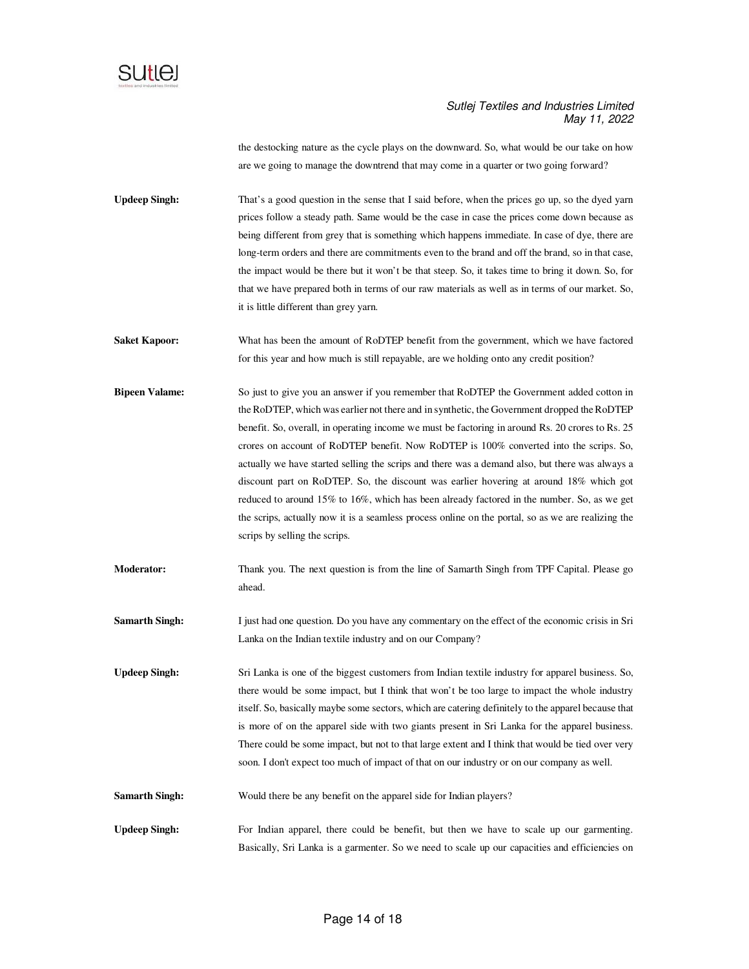

the destocking nature as the cycle plays on the downward. So, what would be our take on how are we going to manage the downtrend that may come in a quarter or two going forward?

**Updeep Singh:** That's a good question in the sense that I said before, when the prices go up, so the dyed yarn prices follow a steady path. Same would be the case in case the prices come down because as being different from grey that is something which happens immediate. In case of dye, there are long-term orders and there are commitments even to the brand and off the brand, so in that case, the impact would be there but it won't be that steep. So, it takes time to bring it down. So, for that we have prepared both in terms of our raw materials as well as in terms of our market. So, it is little different than grey yarn.

**Saket Kapoor:** What has been the amount of RoDTEP benefit from the government, which we have factored for this year and how much is still repayable, are we holding onto any credit position?

**Bipeen Valame:** So just to give you an answer if you remember that RoDTEP the Government added cotton in the RoDTEP, which was earlier not there and in synthetic, the Government dropped the RoDTEP benefit. So, overall, in operating income we must be factoring in around Rs. 20 crores to Rs. 25 crores on account of RoDTEP benefit. Now RoDTEP is 100% converted into the scrips. So, actually we have started selling the scrips and there was a demand also, but there was always a discount part on RoDTEP. So, the discount was earlier hovering at around 18% which got reduced to around 15% to 16%, which has been already factored in the number. So, as we get the scrips, actually now it is a seamless process online on the portal, so as we are realizing the scrips by selling the scrips.

**Moderator:** Thank you. The next question is from the line of Samarth Singh from TPF Capital. Please go ahead.

**Samarth Singh:** I just had one question. Do you have any commentary on the effect of the economic crisis in Sri Lanka on the Indian textile industry and on our Company?

**Updeep Singh:** Sri Lanka is one of the biggest customers from Indian textile industry for apparel business. So, there would be some impact, but I think that won't be too large to impact the whole industry itself. So, basically maybe some sectors, which are catering definitely to the apparel because that is more of on the apparel side with two giants present in Sri Lanka for the apparel business. There could be some impact, but not to that large extent and I think that would be tied over very soon. I don't expect too much of impact of that on our industry or on our company as well.

**Samarth Singh:** Would there be any benefit on the apparel side for Indian players?

Updeep Singh: For Indian apparel, there could be benefit, but then we have to scale up our garmenting. Basically, Sri Lanka is a garmenter. So we need to scale up our capacities and efficiencies on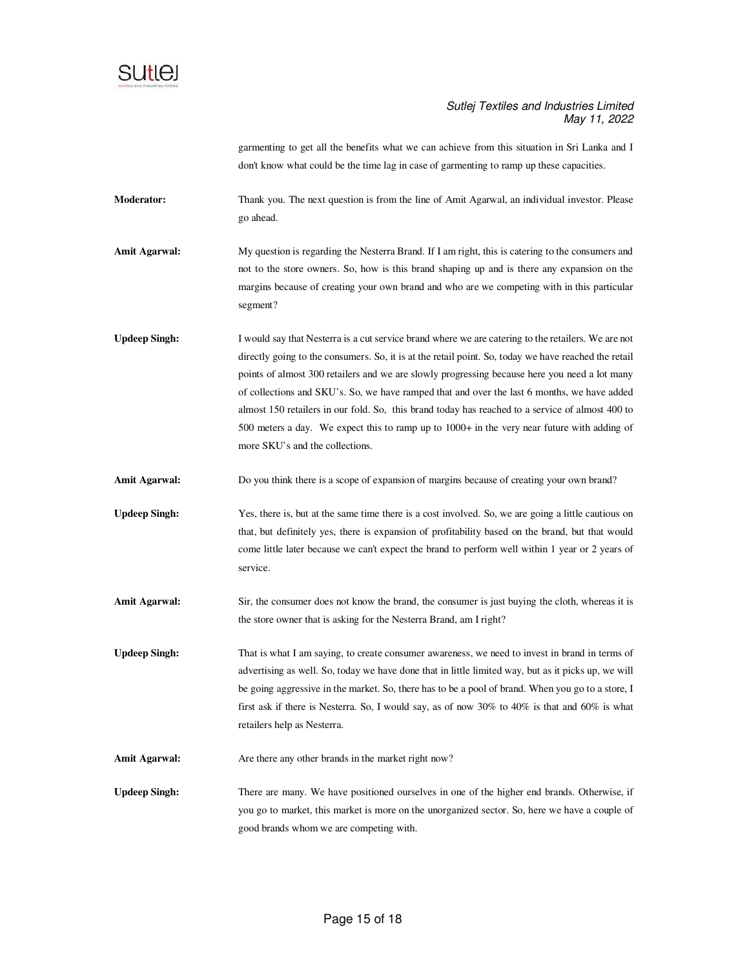

garmenting to get all the benefits what we can achieve from this situation in Sri Lanka and I don't know what could be the time lag in case of garmenting to ramp up these capacities.

**Moderator:** Thank you. The next question is from the line of Amit Agarwal, an individual investor. Please go ahead.

**Amit Agarwal:** My question is regarding the Nesterra Brand. If I am right, this is catering to the consumers and not to the store owners. So, how is this brand shaping up and is there any expansion on the margins because of creating your own brand and who are we competing with in this particular segment?

**Updeep Singh:** I would say that Nesterra is a cut service brand where we are catering to the retailers. We are not directly going to the consumers. So, it is at the retail point. So, today we have reached the retail points of almost 300 retailers and we are slowly progressing because here you need a lot many of collections and SKU's. So, we have ramped that and over the last 6 months, we have added almost 150 retailers in our fold. So, this brand today has reached to a service of almost 400 to 500 meters a day. We expect this to ramp up to 1000+ in the very near future with adding of more SKU's and the collections.

Amit Agarwal: Do you think there is a scope of expansion of margins because of creating your own brand?

**Updeep Singh:** Yes, there is, but at the same time there is a cost involved. So, we are going a little cautious on that, but definitely yes, there is expansion of profitability based on the brand, but that would come little later because we can't expect the brand to perform well within 1 year or 2 years of service.

Amit Agarwal: Sir, the consumer does not know the brand, the consumer is just buying the cloth, whereas it is the store owner that is asking for the Nesterra Brand, am I right?

Updeep Singh: That is what I am saying, to create consumer awareness, we need to invest in brand in terms of advertising as well. So, today we have done that in little limited way, but as it picks up, we will be going aggressive in the market. So, there has to be a pool of brand. When you go to a store, I first ask if there is Nesterra. So, I would say, as of now 30% to 40% is that and 60% is what retailers help as Nesterra.

Amit Agarwal: Are there any other brands in the market right now?

Updeep Singh: There are many. We have positioned ourselves in one of the higher end brands. Otherwise, if you go to market, this market is more on the unorganized sector. So, here we have a couple of good brands whom we are competing with.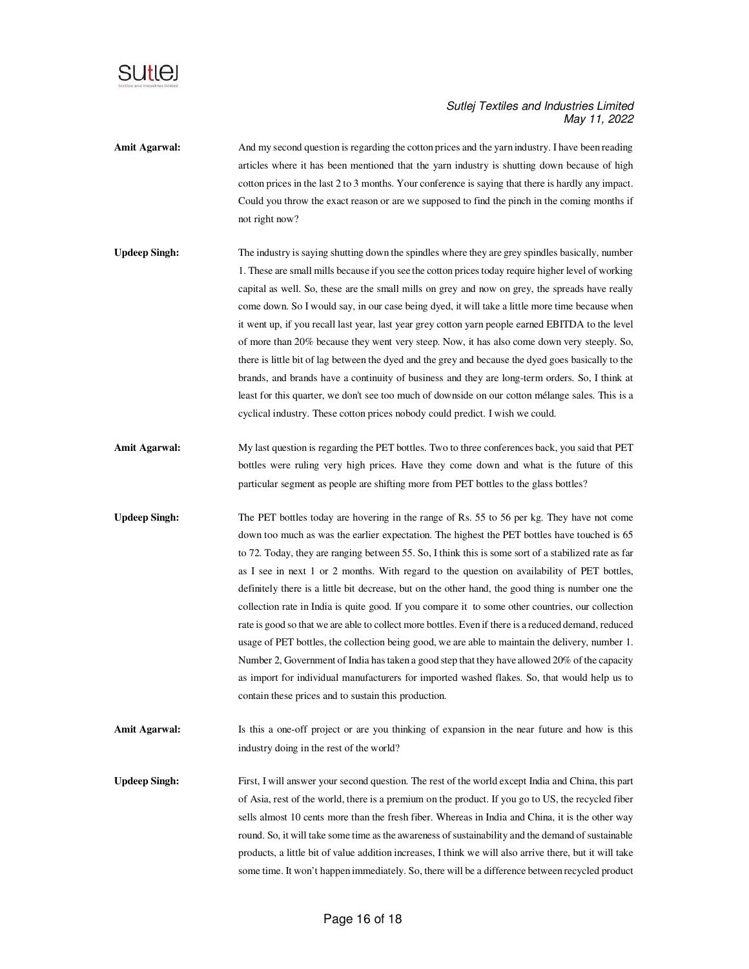

- Amit Agarwal: And my second question is regarding the cotton prices and the yarn industry. I have been reading articles where it has been mentioned that the yarn industry is shutting down because of high cotton prices in the last 2 to 3 months. Your conference is saying that there is hardly any impact. Could you throw the exact reason or are we supposed to find the pinch in the coming months if not right now?
- **Updeep Singh:** The industry is saying shutting down the spindles where they are grey spindles basically, number 1. These are small mills because if you see the cotton prices today require higher level of working capital as well. So, these are the small mills on grey and now on grey, the spreads have really come down. So I would say, in our case being dyed, it will take a little more time because when it went up, if you recall last year, last year grey cotton yarn people earned EBITDA to the level of more than 20% because they went very steep. Now, it has also come down very steeply. So, there is little bit of lag between the dyed and the grey and because the dyed goes basically to the brands, and brands have a continuity of business and they are long-term orders. So, I think at least for this quarter, we don't see too much of downside on our cotton mélange sales. This is a cyclical industry. These cotton prices nobody could predict. I wish we could.
- **Amit Agarwal:** My last question is regarding the PET bottles. Two to three conferences back, you said that PET bottles were ruling very high prices. Have they come down and what is the future of this particular segment as people are shifting more from PET bottles to the glass bottles?
- **Updeep Singh:** The PET bottles today are hovering in the range of Rs. 55 to 56 per kg. They have not come down too much as was the earlier expectation. The highest the PET bottles have touched is 65 to 72. Today, they are ranging between 55. So, I think this is some sort of a stabilized rate as far as I see in next 1 or 2 months. With regard to the question on availability of PET bottles, definitely there is a little bit decrease, but on the other hand, the good thing is number one the collection rate in India is quite good. If you compare it to some other countries, our collection rate is good so that we are able to collect more bottles. Even if there is a reduced demand, reduced usage of PET bottles, the collection being good, we are able to maintain the delivery, number 1. Number 2, Government of India has taken a good step that they have allowed 20% of the capacity as import for individual manufacturers for imported washed flakes. So, that would help us to contain these prices and to sustain this production.
- **Amit Agarwal:** Is this a one-off project or are you thinking of expansion in the near future and how is this industry doing in the rest of the world?
- **Updeep Singh:** First, I will answer your second question. The rest of the world except India and China, this part of Asia, rest of the world, there is a premium on the product. If you go to US, the recycled fiber sells almost 10 cents more than the fresh fiber. Whereas in India and China, it is the other way round. So, it will take some time as the awareness of sustainability and the demand of sustainable products, a little bit of value addition increases, I think we will also arrive there, but it will take some time. It won't happen immediately. So, there will be a difference between recycled product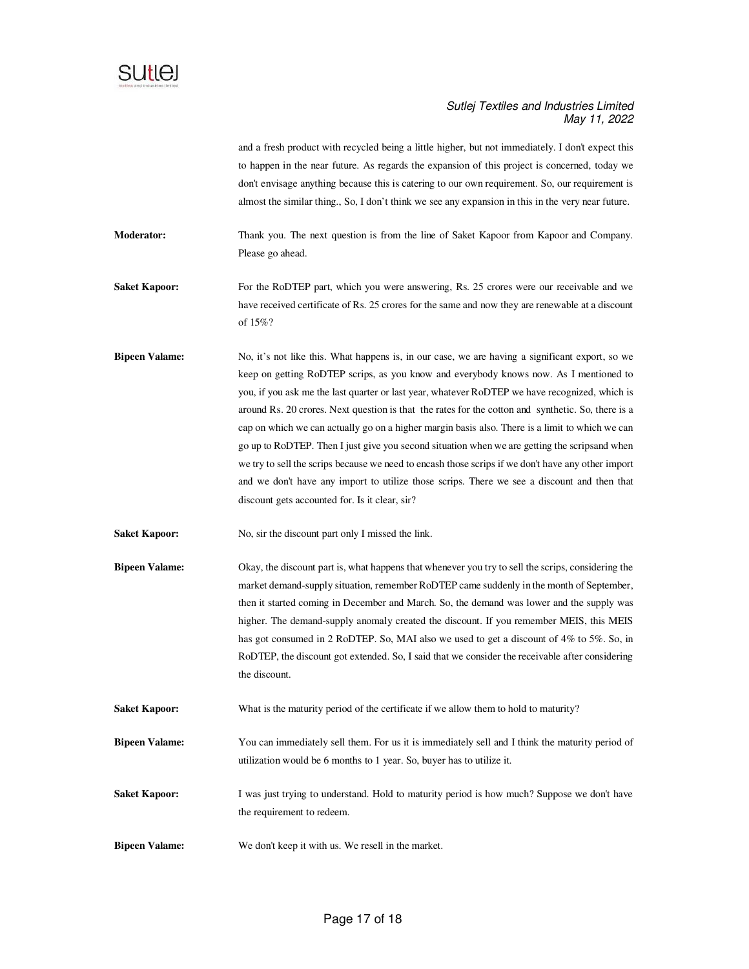

and a fresh product with recycled being a little higher, but not immediately. I don't expect this to happen in the near future. As regards the expansion of this project is concerned, today we don't envisage anything because this is catering to our own requirement. So, our requirement is almost the similar thing., So, I don't think we see any expansion in this in the very near future.

**Moderator:** Thank you. The next question is from the line of Saket Kapoor from Kapoor and Company. Please go ahead.

**Saket Kapoor:** For the RoDTEP part, which you were answering, Rs. 25 crores were our receivable and we have received certificate of Rs. 25 crores for the same and now they are renewable at a discount of 15%?

**Bipeen Valame:** No, it's not like this. What happens is, in our case, we are having a significant export, so we keep on getting RoDTEP scrips, as you know and everybody knows now. As I mentioned to you, if you ask me the last quarter or last year, whatever RoDTEP we have recognized, which is around Rs. 20 crores. Next question is that the rates for the cotton and synthetic. So, there is a cap on which we can actually go on a higher margin basis also. There is a limit to which we can go up to RoDTEP. Then I just give you second situation when we are getting the scripsand when we try to sell the scrips because we need to encash those scrips if we don't have any other import and we don't have any import to utilize those scrips. There we see a discount and then that discount gets accounted for. Is it clear, sir?

**Saket Kapoor:** No, sir the discount part only I missed the link.

- **Bipeen Valame:** Okay, the discount part is, what happens that whenever you try to sell the scrips, considering the market demand-supply situation, remember RoDTEP came suddenly in the month of September, then it started coming in December and March. So, the demand was lower and the supply was higher. The demand-supply anomaly created the discount. If you remember MEIS, this MEIS has got consumed in 2 RoDTEP. So, MAI also we used to get a discount of 4% to 5%. So, in RoDTEP, the discount got extended. So, I said that we consider the receivable after considering the discount.
- **Saket Kapoor:** What is the maturity period of the certificate if we allow them to hold to maturity?
- **Bipeen Valame:** You can immediately sell them. For us it is immediately sell and I think the maturity period of utilization would be 6 months to 1 year. So, buyer has to utilize it.
- **Saket Kapoor:** I was just trying to understand. Hold to maturity period is how much? Suppose we don't have the requirement to redeem.
- **Bipeen Valame:** We don't keep it with us. We resell in the market.